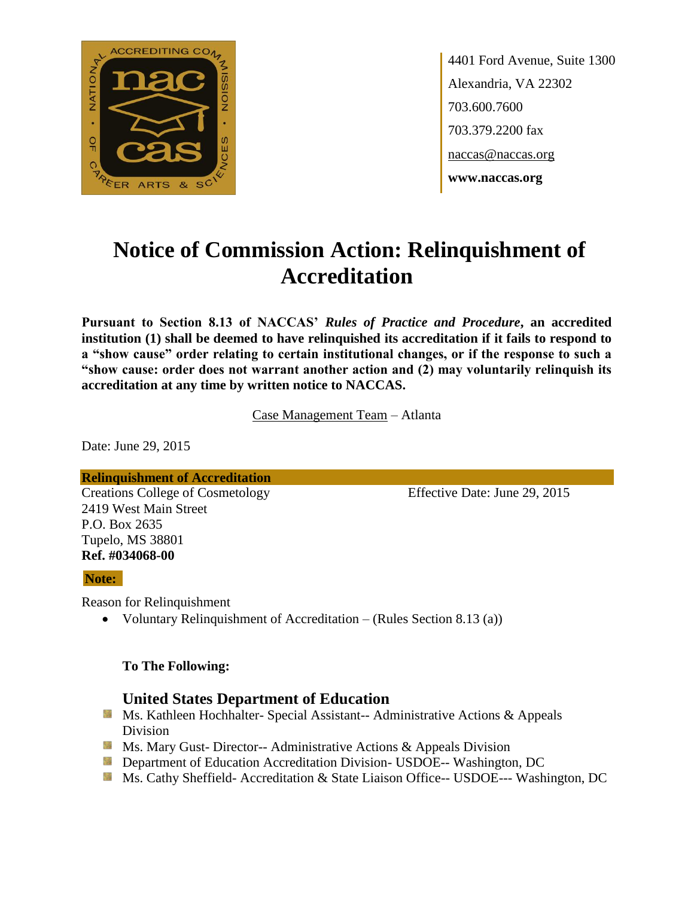

4401 Ford Avenue, Suite 1300 Alexandria, VA 22302 703.600.7600 703.379.2200 fax naccas@naccas.org **www.naccas.org**

# **Notice of Commission Action: Relinquishment of Accreditation**

**Pursuant to Section 8.13 of NACCAS'** *Rules of Practice and Procedure***, an accredited institution (1) shall be deemed to have relinquished its accreditation if it fails to respond to a "show cause" order relating to certain institutional changes, or if the response to such a "show cause: order does not warrant another action and (2) may voluntarily relinquish its accreditation at any time by written notice to NACCAS.**

Case Management Team – Atlanta

Date: June 29, 2015

**Relinquishment of Accreditation**

Creations College of Cosmetology Effective Date: June 29, 2015 2419 West Main Street P.O. Box 2635 Tupelo, MS 38801 **Ref. #034068-00**

#### **Note:**

Reason for Relinquishment

• Voluntary Relinquishment of Accreditation – (Rules Section 8.13 (a))

#### **To The Following:**

### **United States Department of Education**

- **Ms. Kathleen Hochhalter- Special Assistant-- Administrative Actions & Appeals** Division
- **Ms. Mary Gust- Director-- Administrative Actions & Appeals Division**
- **Department of Education Accreditation Division- USDOE-- Washington, DC**
- Ms. Cathy Sheffield- Accreditation & State Liaison Office-- USDOE--- Washington, DC